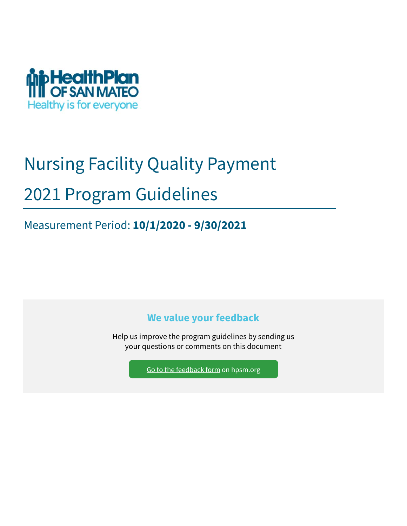

# Nursing Facility Quality Payment 2021 Program Guidelines

Measurement Period: **10/1/2020 - 9/30/2021**

**We value your feedback** 

Help us improve the program guidelines by sending us your questions or comments on this document

Go to the feedback form on hpsm.org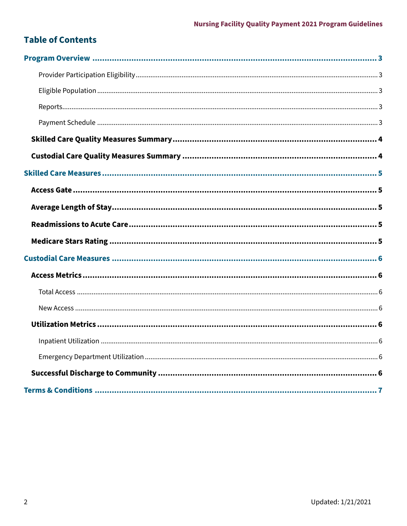## **Table of Contents**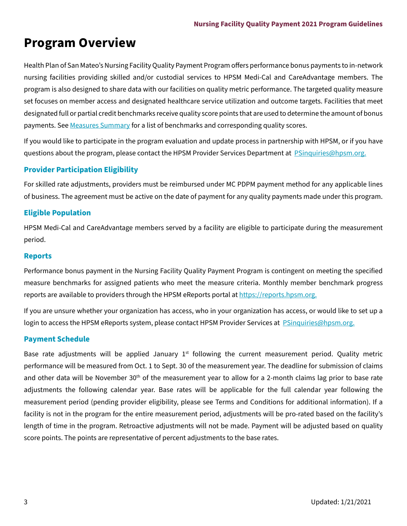# **Program Overview**

Health Plan of San Mateo's Nursing Facility Quality Payment Program offers performance bonus payments to in-network nursing facilities providing skilled and/or custodial services to HPSM Medi-Cal and CareAdvantage members. The program is also designed to share data with our facilities on quality metric performance. The targeted quality measure set focuses on member access and designated healthcare service utilization and outcome targets. Facilities that meet designated full or partial credit benchmarks receive quality score points that are used to determine the amount of bonus payments. See Measures Summary for a list of benchmarks and corresponding quality scores.

If you would like to participate in the program evaluation and update process in partnership with HPSM, or if you have questions about the program, please contact the HPSM Provider Services Department at PSinquiries@hpsm.org.

#### **Provider Participation Eligibility**

For skilled rate adjustments, providers must be reimbursed under MC PDPM payment method for any applicable lines of business. The agreement must be active on the date of payment for any quality payments made under this program.

#### **Eligible Population**

HPSM Medi-Cal and CareAdvantage members served by a facility are eligible to participate during the measurement period.

#### **Reports**

Performance bonus payment in the Nursing Facility Quality Payment Program is contingent on meeting the specified measure benchmarks for assigned patients who meet the measure criteria. Monthly member benchmark progress reports are available to providers through the HPSM eReports portal at https://reports.hpsm.org.

If you are unsure whether your organization has access, who in your organization has access, or would like to set up a login to access the HPSM eReports system, please contact HPSM Provider Services at **PSinquiries@hpsm.org.** 

#### **Payment Schedule**

Base rate adjustments will be applied January  $1<sup>st</sup>$  following the current measurement period. Quality metric performance will be measured from Oct. 1 to Sept. 30 of the measurement year. The deadline for submission of claims and other data will be November 30<sup>th</sup> of the measurement year to allow for a 2-month claims lag prior to base rate adjustments the following calendar year. Base rates will be applicable for the full calendar year following the measurement period (pending provider eligibility, please see Terms and Conditions for additional information). If a facility is not in the program for the entire measurement period, adjustments will be pro-rated based on the facility's length of time in the program. Retroactive adjustments will not be made. Payment will be adjusted based on quality score points. The points are representative of percent adjustments to the base rates.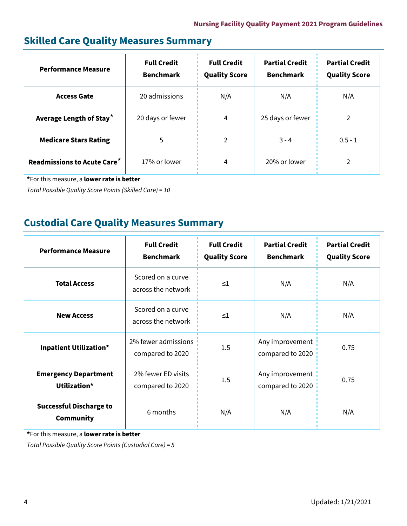## **Skilled Care Quality Measures Summary**

| <b>Performance Measure</b>                    | <b>Full Credit</b><br><b>Benchmark</b> | <b>Full Credit</b><br><b>Quality Score</b> | <b>Partial Credit</b><br><b>Benchmark</b> | <b>Partial Credit</b><br><b>Quality Score</b> |
|-----------------------------------------------|----------------------------------------|--------------------------------------------|-------------------------------------------|-----------------------------------------------|
| <b>Access Gate</b>                            | 20 admissions                          | N/A                                        | N/A                                       | N/A                                           |
| Average Length of Stay <sup>*</sup>           | 20 days or fewer                       | 4                                          | 25 days or fewer                          | 2                                             |
| <b>Medicare Stars Rating</b>                  | 5                                      | 2                                          | $3 - 4$                                   | $0.5 - 1$                                     |
| <b>Readmissions to Acute Care<sup>*</sup></b> | 17% or lower                           | 4                                          | 20% or lower                              |                                               |

**\***For this measure, a **lower rate is better** 

*Total Possible Quality Score Points (Skilled Care) = 10* 

## **Custodial Care Quality Measures Summary**

| <b>Performance Measure</b>                         | <b>Full Credit</b><br><b>Benchmark</b>  | <b>Full Credit</b><br><b>Quality Score</b> | <b>Partial Credit</b><br><b>Benchmark</b> | <b>Partial Credit</b><br><b>Quality Score</b> |
|----------------------------------------------------|-----------------------------------------|--------------------------------------------|-------------------------------------------|-----------------------------------------------|
| <b>Total Access</b>                                | Scored on a curve<br>across the network | $\leq 1$                                   | N/A                                       | N/A                                           |
| <b>New Access</b>                                  | Scored on a curve<br>across the network | $\leq$ 1                                   | N/A                                       | N/A                                           |
| <b>Inpatient Utilization*</b>                      | 2% fewer admissions<br>compared to 2020 | 1.5                                        | Any improvement<br>compared to 2020       | 0.75                                          |
| <b>Emergency Department</b><br>Utilization*        | 2% fewer ED visits<br>compared to 2020  | 1.5                                        | Any improvement<br>compared to 2020       | 0.75                                          |
| <b>Successful Discharge to</b><br><b>Community</b> | 6 months                                | N/A                                        | N/A                                       | N/A                                           |

**\***For this measure, a **lower rate is better** 

*Total Possible Quality Score Points (Custodial Care) = 5*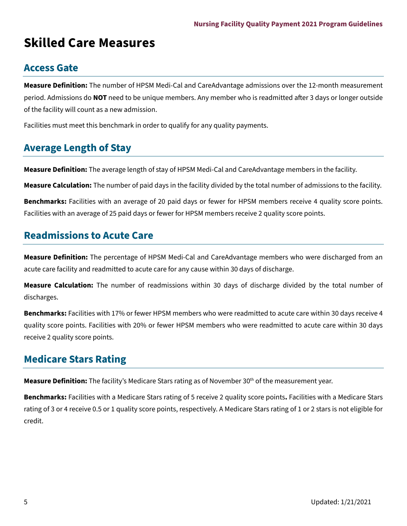# **Skilled Care Measures**

#### **Access Gate**

**Measure Definition:** The number of HPSM Medi-Cal and CareAdvantage admissions over the 12-month measurement period. Admissions do **NOT** need to be unique members. Any member who is readmitted after 3 days or longer outside of the facility will count as a new admission.

Facilities must meet this benchmark in order to qualify for any quality payments.

#### **Average Length of Stay**

**Measure Definition:** The average length of stay of HPSM Medi-Cal and CareAdvantage members in the facility.

**Measure Calculation:** The number of paid days in the facility divided by the total number of admissions to the facility.

**Benchmarks:** Facilities with an average of 20 paid days or fewer for HPSM members receive 4 quality score points. Facilities with an average of 25 paid days or fewer for HPSM members receive 2 quality score points.

## **Readmissions to Acute Care**

**Measure Definition:** The percentage of HPSM Medi-Cal and CareAdvantage members who were discharged from an acute care facility and readmitted to acute care for any cause within 30 days of discharge.

**Measure Calculation:** The number of readmissions within 30 days of discharge divided by the total number of discharges.

**Benchmarks:** Facilities with 17% or fewer HPSM members who were readmitted to acute care within 30 days receive 4 quality score points. Facilities with 20% or fewer HPSM members who were readmitted to acute care within 30 days receive 2 quality score points.

## **Medicare Stars Rating**

Measure Definition: The facility's Medicare Stars rating as of November 30<sup>th</sup> of the measurement year.

**Benchmarks:** Facilities with a Medicare Stars rating of 5 receive 2 quality score points**.** Facilities with a Medicare Stars rating of 3 or 4 receive 0.5 or 1 quality score points, respectively. A Medicare Stars rating of 1 or 2 stars is not eligible for credit.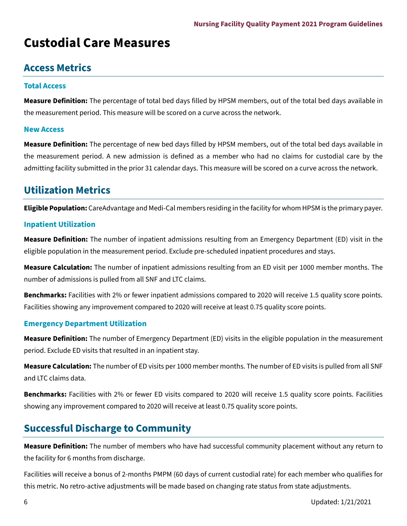# **Custodial Care Measures**

## **Access Metrics**

#### **Total Access**

**Measure Definition:** The percentage of total bed days filled by HPSM members, out of the total bed days available in the measurement period. This measure will be scored on a curve across the network.

#### **New Access**

**Measure Definition:** The percentage of new bed days filled by HPSM members, out of the total bed days available in the measurement period. A new admission is defined as a member who had no claims for custodial care by the admitting facility submitted in the prior 31 calendar days. This measure will be scored on a curve across the network.

## **Utilization Metrics**

**Eligible Population:** CareAdvantage and Medi-Cal members residing in the facility for whom HPSM is the primary payer.

#### **Inpatient Utilization**

**Measure Definition:** The number of inpatient admissions resulting from an Emergency Department (ED) visit in the eligible population in the measurement period. Exclude pre-scheduled inpatient procedures and stays.

**Measure Calculation:** The number of inpatient admissions resulting from an ED visit per 1000 member months. The number of admissions is pulled from all SNF and LTC claims.

**Benchmarks:** Facilities with 2% or fewer inpatient admissions compared to 2020 will receive 1.5 quality score points. Facilities showing any improvement compared to 2020 will receive at least 0.75 quality score points.

#### **Emergency Department Utilization**

**Measure Definition:** The number of Emergency Department (ED) visits in the eligible population in the measurement period. Exclude ED visits that resulted in an inpatient stay.

**Measure Calculation:** The number of ED visits per 1000 member months. The number of ED visits is pulled from all SNF and LTC claims data.

**Benchmarks:** Facilities with 2% or fewer ED visits compared to 2020 will receive 1.5 quality score points. Facilities showing any improvement compared to 2020 will receive at least 0.75 quality score points.

## **Successful Discharge to Community**

**Measure Definition:** The number of members who have had successful community placement without any return to the facility for 6 months from discharge.

Facilities will receive a bonus of 2-months PMPM (60 days of current custodial rate) for each member who qualifies for this metric. No retro-active adjustments will be made based on changing rate status from state adjustments.